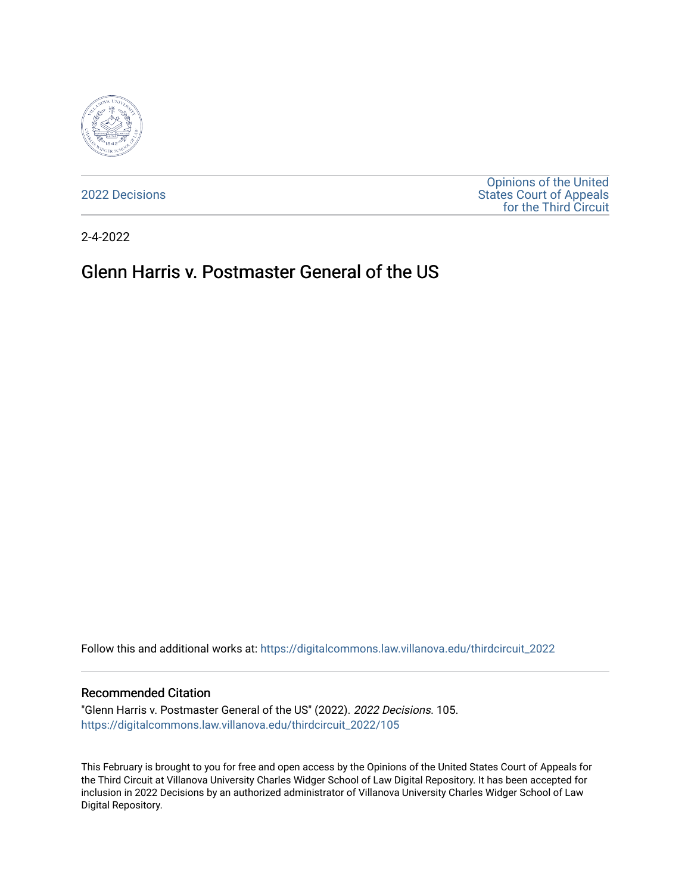

[2022 Decisions](https://digitalcommons.law.villanova.edu/thirdcircuit_2022)

[Opinions of the United](https://digitalcommons.law.villanova.edu/thirdcircuit)  [States Court of Appeals](https://digitalcommons.law.villanova.edu/thirdcircuit)  [for the Third Circuit](https://digitalcommons.law.villanova.edu/thirdcircuit) 

2-4-2022

# Glenn Harris v. Postmaster General of the US

Follow this and additional works at: [https://digitalcommons.law.villanova.edu/thirdcircuit\\_2022](https://digitalcommons.law.villanova.edu/thirdcircuit_2022?utm_source=digitalcommons.law.villanova.edu%2Fthirdcircuit_2022%2F105&utm_medium=PDF&utm_campaign=PDFCoverPages) 

#### Recommended Citation

"Glenn Harris v. Postmaster General of the US" (2022). 2022 Decisions. 105. [https://digitalcommons.law.villanova.edu/thirdcircuit\\_2022/105](https://digitalcommons.law.villanova.edu/thirdcircuit_2022/105?utm_source=digitalcommons.law.villanova.edu%2Fthirdcircuit_2022%2F105&utm_medium=PDF&utm_campaign=PDFCoverPages)

This February is brought to you for free and open access by the Opinions of the United States Court of Appeals for the Third Circuit at Villanova University Charles Widger School of Law Digital Repository. It has been accepted for inclusion in 2022 Decisions by an authorized administrator of Villanova University Charles Widger School of Law Digital Repository.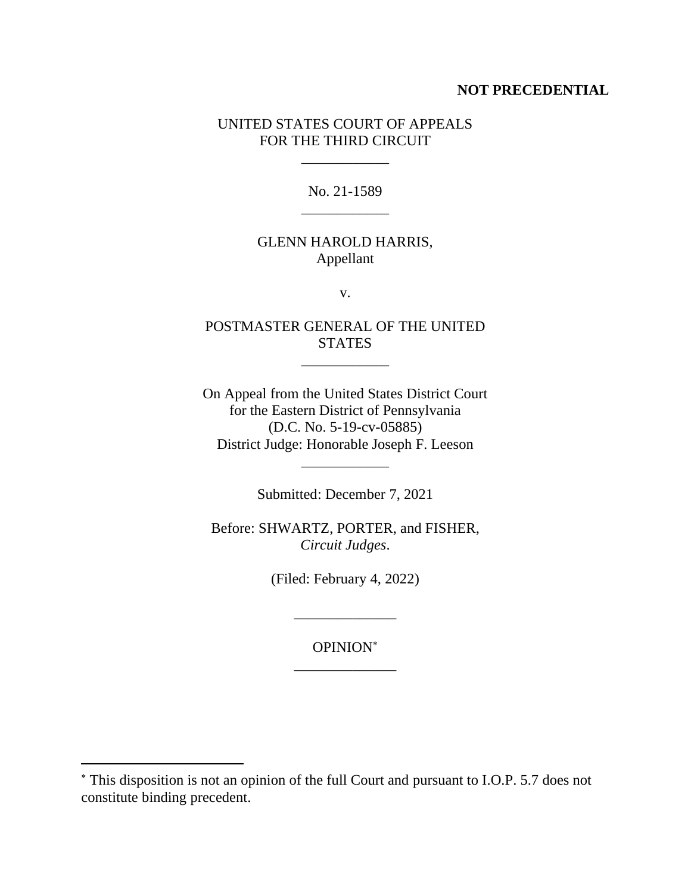### **NOT PRECEDENTIAL**

## UNITED STATES COURT OF APPEALS FOR THE THIRD CIRCUIT

 $\overline{\phantom{a}}$ 

No. 21-1589 \_\_\_\_\_\_\_\_\_\_\_\_

# GLENN HAROLD HARRIS, Appellant

v.

# POSTMASTER GENERAL OF THE UNITED **STATES**

\_\_\_\_\_\_\_\_\_\_\_\_

On Appeal from the United States District Court for the Eastern District of Pennsylvania (D.C. No. 5-19-cv-05885) District Judge: Honorable Joseph F. Leeson

Submitted: December 7, 2021

\_\_\_\_\_\_\_\_\_\_\_\_

Before: SHWARTZ, PORTER, and FISHER, *Circuit Judges*.

(Filed: February 4, 2022)

\_\_\_\_\_\_\_\_\_\_\_\_\_\_

OPINION \_\_\_\_\_\_\_\_\_\_\_\_\_\_

This disposition is not an opinion of the full Court and pursuant to I.O.P. 5.7 does not constitute binding precedent.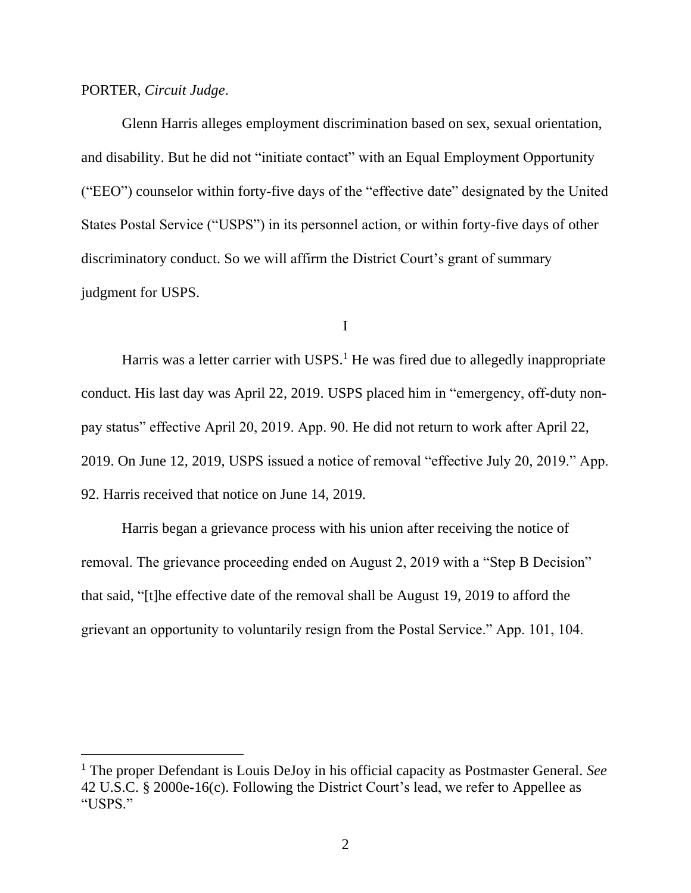#### PORTER, *Circuit Judge*.

Glenn Harris alleges employment discrimination based on sex, sexual orientation, and disability. But he did not "initiate contact" with an Equal Employment Opportunity ("EEO") counselor within forty-five days of the "effective date" designated by the United States Postal Service ("USPS") in its personnel action, or within forty-five days of other discriminatory conduct. So we will affirm the District Court's grant of summary judgment for USPS.

I

Harris was a letter carrier with  $USPS<sup>1</sup>$ . He was fired due to allegedly inappropriate conduct. His last day was April 22, 2019. USPS placed him in "emergency, off-duty nonpay status" effective April 20, 2019. App. 90. He did not return to work after April 22, 2019. On June 12, 2019, USPS issued a notice of removal "effective July 20, 2019." App. 92. Harris received that notice on June 14, 2019.

Harris began a grievance process with his union after receiving the notice of removal. The grievance proceeding ended on August 2, 2019 with a "Step B Decision" that said, "[t]he effective date of the removal shall be August 19, 2019 to afford the grievant an opportunity to voluntarily resign from the Postal Service." App. 101, 104.

<sup>1</sup> The proper Defendant is Louis DeJoy in his official capacity as Postmaster General. *See* 42 U.S.C. § 2000e-16(c). Following the District Court's lead, we refer to Appellee as "USPS."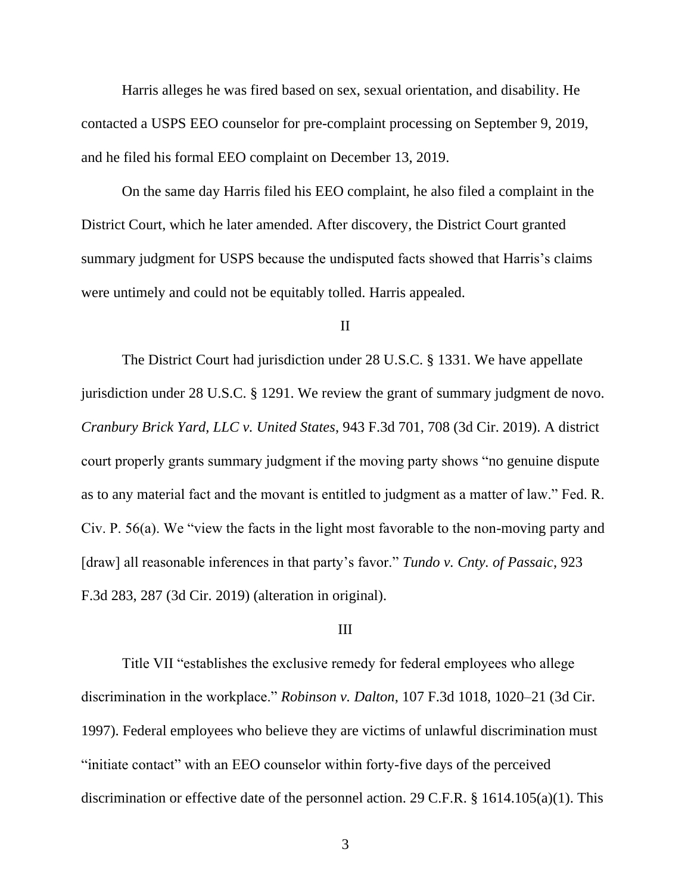Harris alleges he was fired based on sex, sexual orientation, and disability. He contacted a USPS EEO counselor for pre-complaint processing on September 9, 2019, and he filed his formal EEO complaint on December 13, 2019.

On the same day Harris filed his EEO complaint, he also filed a complaint in the District Court, which he later amended. After discovery, the District Court granted summary judgment for USPS because the undisputed facts showed that Harris's claims were untimely and could not be equitably tolled. Harris appealed.

II

The District Court had jurisdiction under 28 U.S.C. § 1331. We have appellate jurisdiction under 28 U.S.C. § 1291. We review the grant of summary judgment de novo. *Cranbury Brick Yard, LLC v. United States*, 943 F.3d 701, 708 (3d Cir. 2019). A district court properly grants summary judgment if the moving party shows "no genuine dispute as to any material fact and the movant is entitled to judgment as a matter of law." Fed. R. Civ. P. 56(a). We "view the facts in the light most favorable to the non-moving party and [draw] all reasonable inferences in that party's favor." *Tundo v. Cnty. of Passaic*, 923 F.3d 283, 287 (3d Cir. 2019) (alteration in original).

#### III

Title VII "establishes the exclusive remedy for federal employees who allege discrimination in the workplace." *Robinson v. Dalton*, 107 F.3d 1018, 1020–21 (3d Cir. 1997). Federal employees who believe they are victims of unlawful discrimination must "initiate contact" with an EEO counselor within forty-five days of the perceived discrimination or effective date of the personnel action. 29 C.F.R. § 1614.105(a)(1). This

3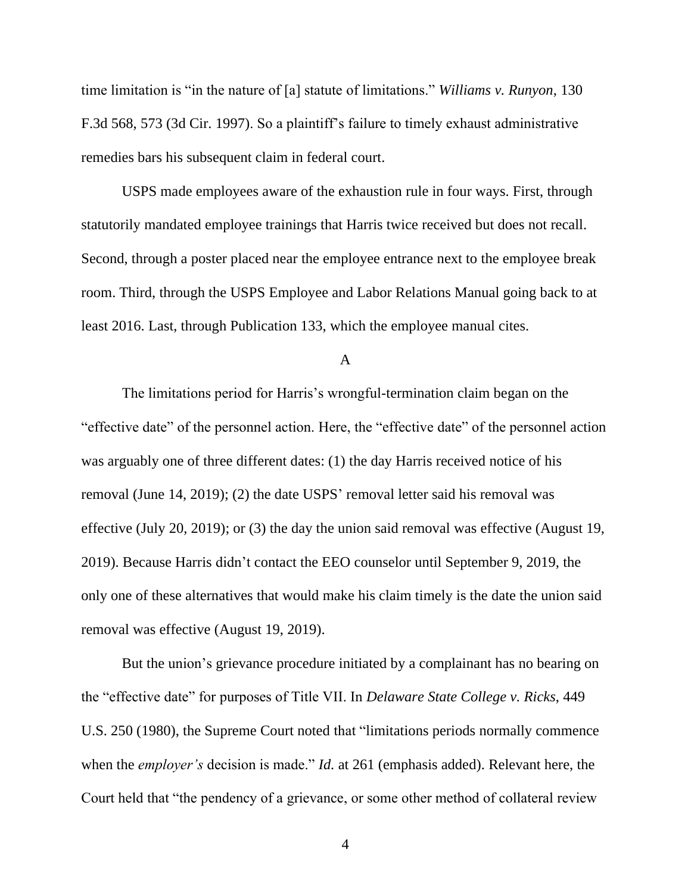time limitation is "in the nature of [a] statute of limitations." *Williams v. Runyon*, 130 F.3d 568, 573 (3d Cir. 1997). So a plaintiff's failure to timely exhaust administrative remedies bars his subsequent claim in federal court.

USPS made employees aware of the exhaustion rule in four ways. First, through statutorily mandated employee trainings that Harris twice received but does not recall. Second, through a poster placed near the employee entrance next to the employee break room. Third, through the USPS Employee and Labor Relations Manual going back to at least 2016. Last, through Publication 133, which the employee manual cites.

A

The limitations period for Harris's wrongful-termination claim began on the "effective date" of the personnel action. Here, the "effective date" of the personnel action was arguably one of three different dates: (1) the day Harris received notice of his removal (June 14, 2019); (2) the date USPS' removal letter said his removal was effective (July 20, 2019); or (3) the day the union said removal was effective (August 19, 2019). Because Harris didn't contact the EEO counselor until September 9, 2019, the only one of these alternatives that would make his claim timely is the date the union said removal was effective (August 19, 2019).

But the union's grievance procedure initiated by a complainant has no bearing on the "effective date" for purposes of Title VII. In *Delaware State College v. Ricks*, 449 U.S. 250 (1980), the Supreme Court noted that "limitations periods normally commence when the *employer's* decision is made." *Id.* at 261 (emphasis added). Relevant here, the Court held that "the pendency of a grievance, or some other method of collateral review

4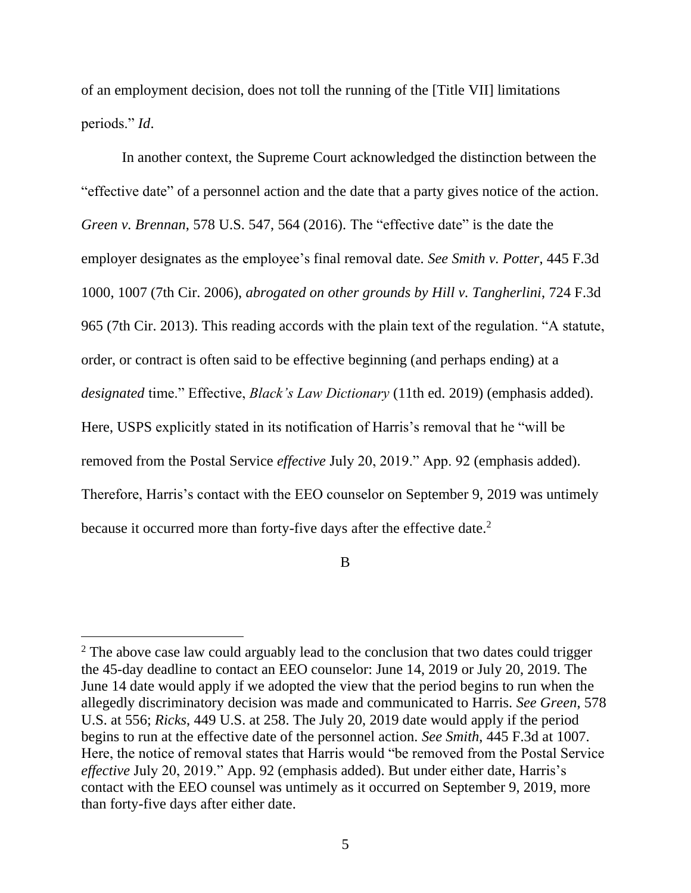of an employment decision, does not toll the running of the [Title VII] limitations periods." *Id*.

In another context, the Supreme Court acknowledged the distinction between the "effective date" of a personnel action and the date that a party gives notice of the action. *Green v. Brennan,* 578 U.S. 547, 564 (2016). The "effective date" is the date the employer designates as the employee's final removal date. *See Smith v. Potter*, 445 F.3d 1000, 1007 (7th Cir. 2006), *abrogated on other grounds by Hill v. Tangherlini*, 724 F.3d 965 (7th Cir. 2013). This reading accords with the plain text of the regulation. "A statute, order, or contract is often said to be effective beginning (and perhaps ending) at a *designated* time." Effective, *Black's Law Dictionary* (11th ed. 2019) (emphasis added). Here, USPS explicitly stated in its notification of Harris's removal that he "will be removed from the Postal Service *effective* July 20, 2019." App. 92 (emphasis added). Therefore, Harris's contact with the EEO counselor on September 9, 2019 was untimely because it occurred more than forty-five days after the effective date.<sup>2</sup>

B

 $2$  The above case law could arguably lead to the conclusion that two dates could trigger the 45-day deadline to contact an EEO counselor: June 14, 2019 or July 20, 2019. The June 14 date would apply if we adopted the view that the period begins to run when the allegedly discriminatory decision was made and communicated to Harris. *See Green*, 578 U.S. at 556; *Ricks*, 449 U.S. at 258. The July 20, 2019 date would apply if the period begins to run at the effective date of the personnel action. *See Smith*, 445 F.3d at 1007. Here, the notice of removal states that Harris would "be removed from the Postal Service *effective* July 20, 2019." App. 92 (emphasis added). But under either date, Harris's contact with the EEO counsel was untimely as it occurred on September 9, 2019, more than forty-five days after either date.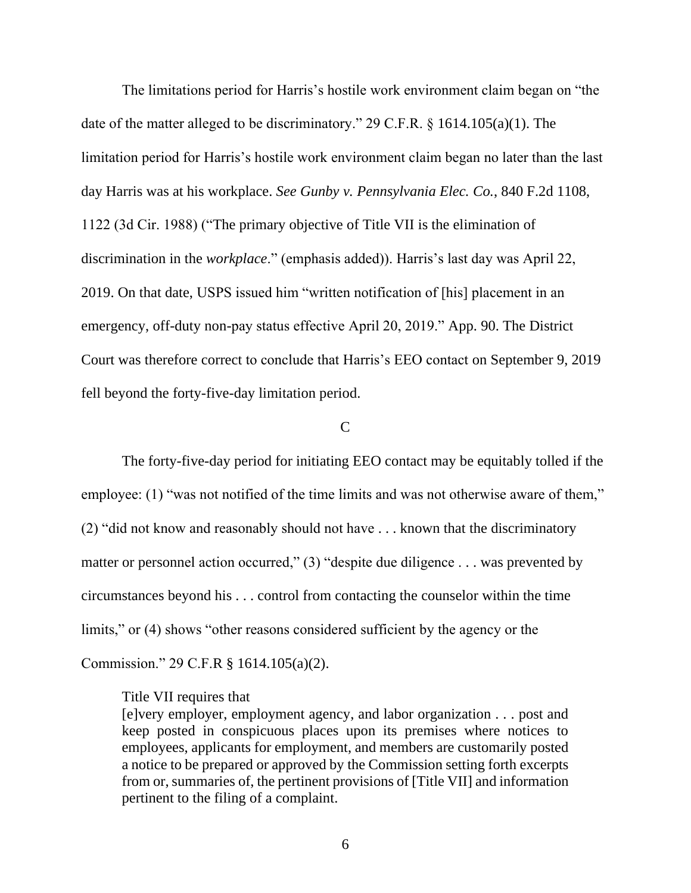The limitations period for Harris's hostile work environment claim began on "the date of the matter alleged to be discriminatory." 29 C.F.R. § 1614.105(a)(1). The limitation period for Harris's hostile work environment claim began no later than the last day Harris was at his workplace. *See Gunby v. Pennsylvania Elec. Co.*, 840 F.2d 1108, 1122 (3d Cir. 1988) ("The primary objective of Title VII is the elimination of discrimination in the *workplace*." (emphasis added)). Harris's last day was April 22, 2019. On that date, USPS issued him "written notification of [his] placement in an emergency, off-duty non-pay status effective April 20, 2019." App. 90. The District Court was therefore correct to conclude that Harris's EEO contact on September 9, 2019 fell beyond the forty-five-day limitation period.

#### $\mathbf C$

The forty-five-day period for initiating EEO contact may be equitably tolled if the employee: (1) "was not notified of the time limits and was not otherwise aware of them," (2) "did not know and reasonably should not have . . . known that the discriminatory matter or personnel action occurred," (3) "despite due diligence . . . was prevented by circumstances beyond his . . . control from contacting the counselor within the time limits," or (4) shows "other reasons considered sufficient by the agency or the Commission." 29 C.F.R § 1614.105(a)(2).

#### Title VII requires that

[e]very employer, employment agency, and labor organization . . . post and keep posted in conspicuous places upon its premises where notices to employees, applicants for employment, and members are customarily posted a notice to be prepared or approved by the Commission setting forth excerpts from or, summaries of, the pertinent provisions of [Title VII] and information pertinent to the filing of a complaint.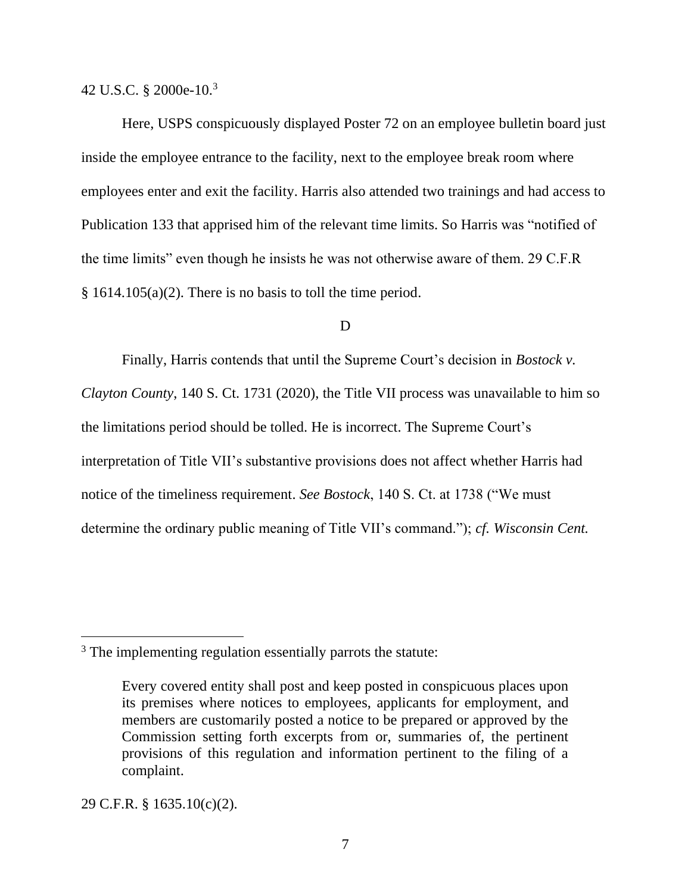42 U.S.C. § 2000e-10.<sup>3</sup>

Here, USPS conspicuously displayed Poster 72 on an employee bulletin board just inside the employee entrance to the facility, next to the employee break room where employees enter and exit the facility. Harris also attended two trainings and had access to Publication 133 that apprised him of the relevant time limits. So Harris was "notified of the time limits" even though he insists he was not otherwise aware of them. 29 C.F.R § 1614.105(a)(2). There is no basis to toll the time period.

#### D

Finally, Harris contends that until the Supreme Court's decision in *Bostock v. Clayton County*, 140 S. Ct. 1731 (2020), the Title VII process was unavailable to him so the limitations period should be tolled. He is incorrect. The Supreme Court's interpretation of Title VII's substantive provisions does not affect whether Harris had notice of the timeliness requirement. *See Bostock*, 140 S. Ct. at 1738 ("We must determine the ordinary public meaning of Title VII's command."); *cf. Wisconsin Cent.* 

29 C.F.R. § 1635.10(c)(2).

<sup>&</sup>lt;sup>3</sup> The implementing regulation essentially parrots the statute:

Every covered entity shall post and keep posted in conspicuous places upon its premises where notices to employees, applicants for employment, and members are customarily posted a notice to be prepared or approved by the Commission setting forth excerpts from or, summaries of, the pertinent provisions of this regulation and information pertinent to the filing of a complaint.